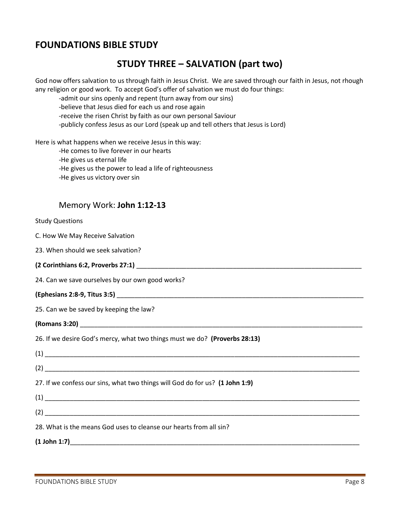### **FOUNDATIONS BIBLE STUDY**

## **STUDY THREE – SALVATION (part two)**

God now offers salvation to us through faith in Jesus Christ. We are saved through our faith in Jesus, not rhough any religion or good work. To accept God's offer of salvation we must do four things:

-admit our sins openly and repent (turn away from our sins)

-believe that Jesus died for each us and rose again

-receive the risen Christ by faith as our own personal Saviour

-publicly confess Jesus as our Lord (speak up and tell others that Jesus is Lord)

Here is what happens when we receive Jesus in this way:

-He comes to live forever in our hearts

-He gives us eternal life

- -He gives us the power to lead a life of righteousness
- -He gives us victory over sin

### Memory Work: **John 1:12-13**

#### Study Questions

|  |  |  |  |  | C. How We May Receive Salvation |
|--|--|--|--|--|---------------------------------|
|--|--|--|--|--|---------------------------------|

23. When should we seek salvation?

**(2 Corinthians 6:2, Proverbs 27:1)** \_\_\_\_\_\_\_\_\_\_\_\_\_\_\_\_\_\_\_\_\_\_\_\_\_\_\_\_\_\_\_\_\_\_\_\_\_\_\_\_\_\_\_\_\_\_\_\_\_\_\_\_\_\_\_\_\_\_\_\_\_\_\_

24. Can we save ourselves by our own good works?

#### **(Ephesians 2:8-9, Titus 3:5)** \_\_\_\_\_\_\_\_\_\_\_\_\_\_\_\_\_\_\_\_\_\_\_\_\_\_\_\_\_\_\_\_\_\_\_\_\_\_\_\_\_\_\_\_\_\_\_\_\_\_\_\_\_\_\_\_\_\_\_\_\_\_\_\_\_\_\_\_\_

25. Can we be saved by keeping the law?

**(Romans 3:20)** \_\_\_\_\_\_\_\_\_\_\_\_\_\_\_\_\_\_\_\_\_\_\_\_\_\_\_\_\_\_\_\_\_\_\_\_\_\_\_\_\_\_\_\_\_\_\_\_\_\_\_\_\_\_\_\_\_\_\_\_\_\_\_\_\_\_\_\_\_\_\_\_\_\_\_\_\_\_\_

26. If we desire God's mercy, what two things must we do? **(Proverbs 28:13)**

| $(1) \begin{tabular}{l} \hline \rule[1pt]{1em}{1.2pt} \multicolumn{2}{c}{} & \multicolumn{2}{c}{} & \multicolumn{2}{c}{} \\ \hline \rule[1pt]{1em}{1.2pt} \multicolumn{2}{c}{} & \multicolumn{2}{c}{} & \multicolumn{2}{c}{} \\ \multicolumn{2}{c}{} & \multicolumn{2}{c}{} & \multicolumn{2}{c}{} & \multicolumn{2}{c}{} \\ \multicolumn{2}{c}{} & \multicolumn{2}{c}{} & \multicolumn{2}{c}{} & \multicolumn{2}{c}{} \\ \multicolumn{2}{c}{} & \multicolumn{2}{c}{}$ |
|------------------------------------------------------------------------------------------------------------------------------------------------------------------------------------------------------------------------------------------------------------------------------------------------------------------------------------------------------------------------------------------------------------------------------------------------------------------------|
| (2)                                                                                                                                                                                                                                                                                                                                                                                                                                                                    |
| 27. If we confess our sins, what two things will God do for us? (1 John 1:9)                                                                                                                                                                                                                                                                                                                                                                                           |
| $\begin{picture}(40,40)(-0.000,0.000) \put(0,0){\vector(1,0){100}} \put(1,0){\vector(1,0){100}} \put(1,0){\vector(1,0){100}} \put(1,0){\vector(1,0){100}} \put(1,0){\vector(1,0){100}} \put(1,0){\vector(1,0){100}} \put(1,0){\vector(1,0){100}} \put(1,0){\vector(1,0){100}} \put(1,0){\vector(1,0){100}} \put(1,0){\vector(1,0){100}} \put(1,0){\vector(1,0){10$                                                                                                     |
|                                                                                                                                                                                                                                                                                                                                                                                                                                                                        |
| 28. What is the means God uses to cleanse our hearts from all sin?                                                                                                                                                                                                                                                                                                                                                                                                     |

**(1 John 1:7)**\_\_\_\_\_\_\_\_\_\_\_\_\_\_\_\_\_\_\_\_\_\_\_\_\_\_\_\_\_\_\_\_\_\_\_\_\_\_\_\_\_\_\_\_\_\_\_\_\_\_\_\_\_\_\_\_\_\_\_\_\_\_\_\_\_\_\_\_\_\_\_\_\_\_\_\_\_\_\_\_\_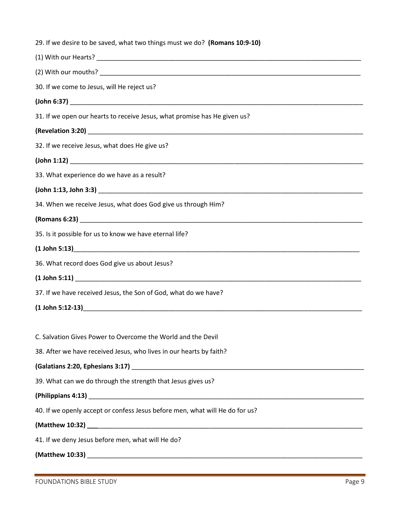| 30. If we come to Jesus, will He reject us?<br>31. If we open our hearts to receive Jesus, what promise has He given us?<br>32. If we receive Jesus, what does He give us?<br>33. What experience do we have as a result?<br>34. When we receive Jesus, what does God give us through Him?<br>35. Is it possible for us to know we have eternal life? |
|-------------------------------------------------------------------------------------------------------------------------------------------------------------------------------------------------------------------------------------------------------------------------------------------------------------------------------------------------------|
|                                                                                                                                                                                                                                                                                                                                                       |
|                                                                                                                                                                                                                                                                                                                                                       |
|                                                                                                                                                                                                                                                                                                                                                       |
|                                                                                                                                                                                                                                                                                                                                                       |
|                                                                                                                                                                                                                                                                                                                                                       |
|                                                                                                                                                                                                                                                                                                                                                       |
|                                                                                                                                                                                                                                                                                                                                                       |
|                                                                                                                                                                                                                                                                                                                                                       |
|                                                                                                                                                                                                                                                                                                                                                       |
|                                                                                                                                                                                                                                                                                                                                                       |
|                                                                                                                                                                                                                                                                                                                                                       |
|                                                                                                                                                                                                                                                                                                                                                       |
|                                                                                                                                                                                                                                                                                                                                                       |
|                                                                                                                                                                                                                                                                                                                                                       |
| 36. What record does God give us about Jesus?                                                                                                                                                                                                                                                                                                         |
|                                                                                                                                                                                                                                                                                                                                                       |
| 37. If we have received Jesus, the Son of God, what do we have?                                                                                                                                                                                                                                                                                       |
|                                                                                                                                                                                                                                                                                                                                                       |
|                                                                                                                                                                                                                                                                                                                                                       |
| C. Salvation Gives Power to Overcome the World and the Devil                                                                                                                                                                                                                                                                                          |
| 38. After we have received Jesus, who lives in our hearts by faith?                                                                                                                                                                                                                                                                                   |
|                                                                                                                                                                                                                                                                                                                                                       |
| 39. What can we do through the strength that Jesus gives us?                                                                                                                                                                                                                                                                                          |
|                                                                                                                                                                                                                                                                                                                                                       |
|                                                                                                                                                                                                                                                                                                                                                       |
| (Philippians 4:13) 2010 12:00 12:00 12:00 12:00 12:00 12:00 12:00 12:00 12:00 12:00 12:00 12:00 12:00 12:00 12<br>40. If we openly accept or confess Jesus before men, what will He do for us?                                                                                                                                                        |
|                                                                                                                                                                                                                                                                                                                                                       |
| 41. If we deny Jesus before men, what will He do?                                                                                                                                                                                                                                                                                                     |